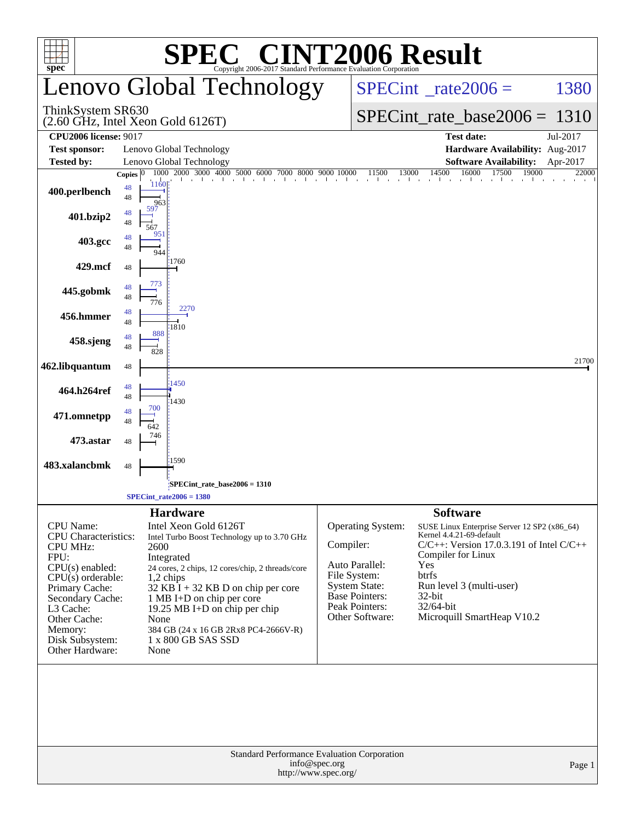| $spec^*$                                                                                                                                                                                                                            |                                       | <b>SPEC<sup>®</sup> CINT2006 Result</b><br>Copyright 2006-2017 Standard Performance Evaluation Corporation                                                                                                                                                                                                                                      |               |                                                                                                                                           |                                                           |                                                                                    |                                                                                               |
|-------------------------------------------------------------------------------------------------------------------------------------------------------------------------------------------------------------------------------------|---------------------------------------|-------------------------------------------------------------------------------------------------------------------------------------------------------------------------------------------------------------------------------------------------------------------------------------------------------------------------------------------------|---------------|-------------------------------------------------------------------------------------------------------------------------------------------|-----------------------------------------------------------|------------------------------------------------------------------------------------|-----------------------------------------------------------------------------------------------|
|                                                                                                                                                                                                                                     |                                       | Lenovo Global Technology                                                                                                                                                                                                                                                                                                                        |               | $SPECint^{\circ}$ _rate2006 =                                                                                                             |                                                           |                                                                                    | 1380                                                                                          |
| ThinkSystem SR630                                                                                                                                                                                                                   |                                       | $(2.60$ GHz, Intel Xeon Gold $6126T$ )                                                                                                                                                                                                                                                                                                          |               |                                                                                                                                           |                                                           |                                                                                    | $SPECint_rate_base2006 = 1310$                                                                |
| <b>CPU2006 license: 9017</b>                                                                                                                                                                                                        |                                       |                                                                                                                                                                                                                                                                                                                                                 |               |                                                                                                                                           |                                                           | <b>Test date:</b>                                                                  | Jul-2017                                                                                      |
| <b>Test sponsor:</b>                                                                                                                                                                                                                |                                       | Lenovo Global Technology                                                                                                                                                                                                                                                                                                                        |               |                                                                                                                                           |                                                           |                                                                                    | Hardware Availability: Aug-2017                                                               |
| <b>Tested by:</b>                                                                                                                                                                                                                   |                                       | Lenovo Global Technology                                                                                                                                                                                                                                                                                                                        |               |                                                                                                                                           |                                                           | <b>Software Availability:</b>                                                      | Apr-2017                                                                                      |
| 400.perlbench                                                                                                                                                                                                                       | Copies $ 0 $<br>48<br>48<br>597<br>48 | $\frac{1000}{2000} \cdot \frac{2000}{3000} \cdot \frac{3000}{4000} \cdot \frac{4000}{5000} \cdot \frac{5000}{6000} \cdot \frac{6000}{7000} \cdot \frac{8000}{8000} \cdot \frac{9000}{9000} \cdot \frac{10000}{10000} \cdot \frac{11500}{11500} \cdot \frac{13000}{14000} \cdot \frac{12000}{14000}$<br>1160<br>963                              |               |                                                                                                                                           | 14500                                                     | 16000<br>17500                                                                     | 19000<br>22000                                                                                |
| 401.bzip2                                                                                                                                                                                                                           | 48<br>567<br>48                       | 95.                                                                                                                                                                                                                                                                                                                                             |               |                                                                                                                                           |                                                           |                                                                                    |                                                                                               |
| 403.gcc                                                                                                                                                                                                                             | 48                                    | 944<br>1760                                                                                                                                                                                                                                                                                                                                     |               |                                                                                                                                           |                                                           |                                                                                    |                                                                                               |
| 429.mcf                                                                                                                                                                                                                             | 48<br>48                              | 773                                                                                                                                                                                                                                                                                                                                             |               |                                                                                                                                           |                                                           |                                                                                    |                                                                                               |
| 445.gobmk                                                                                                                                                                                                                           | 48<br>48                              | 776<br>2270                                                                                                                                                                                                                                                                                                                                     |               |                                                                                                                                           |                                                           |                                                                                    |                                                                                               |
| 456.hmmer                                                                                                                                                                                                                           | 48<br>48                              | 1810<br>888                                                                                                                                                                                                                                                                                                                                     |               |                                                                                                                                           |                                                           |                                                                                    |                                                                                               |
| 458.sjeng                                                                                                                                                                                                                           | 48                                    | 828                                                                                                                                                                                                                                                                                                                                             |               |                                                                                                                                           |                                                           |                                                                                    | 21700                                                                                         |
| 462.libquantum                                                                                                                                                                                                                      | 48                                    |                                                                                                                                                                                                                                                                                                                                                 |               |                                                                                                                                           |                                                           |                                                                                    |                                                                                               |
| 464.h264ref                                                                                                                                                                                                                         | 48<br>48                              | 1450<br>1430                                                                                                                                                                                                                                                                                                                                    |               |                                                                                                                                           |                                                           |                                                                                    |                                                                                               |
| 471.omnetpp                                                                                                                                                                                                                         | 48<br>48<br>642                       | 700                                                                                                                                                                                                                                                                                                                                             |               |                                                                                                                                           |                                                           |                                                                                    |                                                                                               |
| 473.astar                                                                                                                                                                                                                           | 48                                    | 746                                                                                                                                                                                                                                                                                                                                             |               |                                                                                                                                           |                                                           |                                                                                    |                                                                                               |
| 483.xalancbmk                                                                                                                                                                                                                       | 48                                    | 1590                                                                                                                                                                                                                                                                                                                                            |               |                                                                                                                                           |                                                           |                                                                                    |                                                                                               |
|                                                                                                                                                                                                                                     |                                       | SPECint_rate_base2006 = 1310<br>$SPECint_rate2006 = 1380$                                                                                                                                                                                                                                                                                       |               |                                                                                                                                           |                                                           |                                                                                    |                                                                                               |
|                                                                                                                                                                                                                                     |                                       | <b>Hardware</b>                                                                                                                                                                                                                                                                                                                                 |               |                                                                                                                                           | <b>Software</b>                                           |                                                                                    |                                                                                               |
| CPU Name:<br><b>CPU</b> Characteristics:<br><b>CPU MHz:</b><br>FPU:<br>$CPU(s)$ enabled:<br>$CPU(s)$ orderable:<br>Primary Cache:<br>Secondary Cache:<br>L3 Cache:<br>Other Cache:<br>Memory:<br>Disk Subsystem:<br>Other Hardware: |                                       | Intel Xeon Gold 6126T<br>Intel Turbo Boost Technology up to 3.70 GHz<br>2600<br>Integrated<br>24 cores, 2 chips, 12 cores/chip, 2 threads/core<br>1,2 chips<br>$32$ KB I + 32 KB D on chip per core<br>1 MB I+D on chip per core<br>19.25 MB I+D on chip per chip<br>None<br>384 GB (24 x 16 GB 2Rx8 PC4-2666V-R)<br>1 x 800 GB SAS SSD<br>None | Compiler:     | Operating System:<br>Auto Parallel:<br>File System:<br><b>System State:</b><br><b>Base Pointers:</b><br>Peak Pointers:<br>Other Software: | Compiler for Linux<br>Yes<br>btrfs<br>32-bit<br>32/64-bit | Kernel 4.4.21-69-default<br>Run level 3 (multi-user)<br>Microquill SmartHeap V10.2 | SUSE Linux Enterprise Server 12 SP2 (x86_64)<br>$C/C++$ : Version 17.0.3.191 of Intel $C/C++$ |
|                                                                                                                                                                                                                                     |                                       | Standard Performance Evaluation Corporation<br>http://www.spec.org/                                                                                                                                                                                                                                                                             | info@spec.org |                                                                                                                                           |                                                           |                                                                                    | Page 1                                                                                        |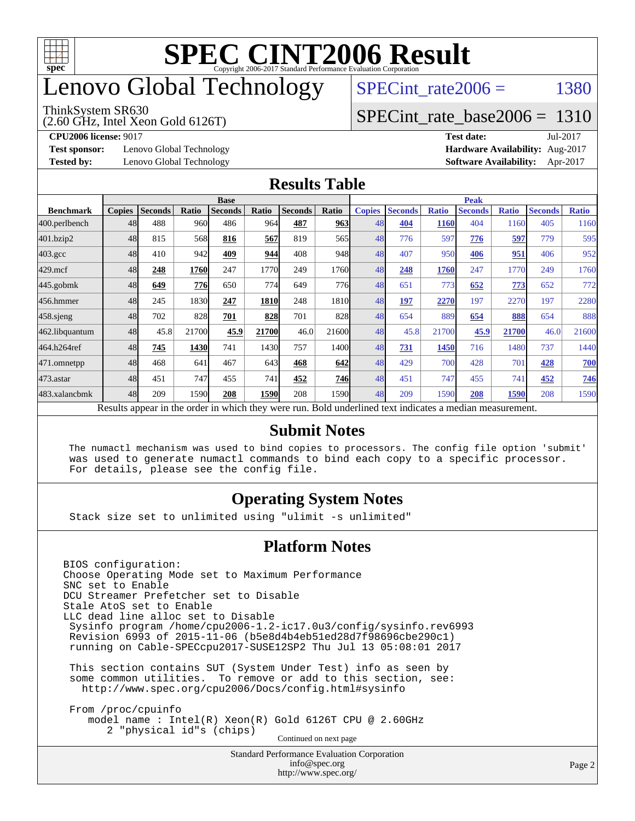

## enovo Global Technology

#### ThinkSystem SR630

(2.60 GHz, Intel Xeon Gold 6126T)

SPECint rate $2006 =$  1380

## [SPECint\\_rate\\_base2006 =](http://www.spec.org/auto/cpu2006/Docs/result-fields.html#SPECintratebase2006) 1310

**[Test sponsor:](http://www.spec.org/auto/cpu2006/Docs/result-fields.html#Testsponsor)** Lenovo Global Technology **[Hardware Availability:](http://www.spec.org/auto/cpu2006/Docs/result-fields.html#HardwareAvailability)** Aug-2017

**[CPU2006 license:](http://www.spec.org/auto/cpu2006/Docs/result-fields.html#CPU2006license)** 9017 **[Test date:](http://www.spec.org/auto/cpu2006/Docs/result-fields.html#Testdate)** Jul-2017 **[Tested by:](http://www.spec.org/auto/cpu2006/Docs/result-fields.html#Testedby)** Lenovo Global Technology **[Software Availability:](http://www.spec.org/auto/cpu2006/Docs/result-fields.html#SoftwareAvailability)** Apr-2017

## **[Results Table](http://www.spec.org/auto/cpu2006/Docs/result-fields.html#ResultsTable)**

|                                                                                                                  | <b>Base</b>   |                |              |                |       |                |                  | <b>Peak</b>   |                |              |                |              |                |              |  |
|------------------------------------------------------------------------------------------------------------------|---------------|----------------|--------------|----------------|-------|----------------|------------------|---------------|----------------|--------------|----------------|--------------|----------------|--------------|--|
| <b>Benchmark</b>                                                                                                 | <b>Copies</b> | <b>Seconds</b> | <b>Ratio</b> | <b>Seconds</b> | Ratio | <b>Seconds</b> | Ratio            | <b>Copies</b> | <b>Seconds</b> | <b>Ratio</b> | <b>Seconds</b> | <b>Ratio</b> | <b>Seconds</b> | <b>Ratio</b> |  |
| 400.perlbench                                                                                                    | 48            | 488            | 960          | 486            | 964   | 487            | 963              | 48            | 404            | 1160         | 404            | 1160         | 405            | 1160         |  |
| 401.bzip2                                                                                                        | 48            | 815            | 568          | 816            | 567   | 819            | 565 <sup>I</sup> | 48            | 776            | 597          | 776            | 597          | 779            | 595          |  |
| $403.\mathrm{gcc}$                                                                                               | 48            | 410            | 942          | 409            | 944   | 408            | 948I             | 48            | 407            | 950          | 406            | 951          | 406            | 952          |  |
| $429$ .mcf                                                                                                       | 48            | 248            | 1760         | 247            | 1770  | 249            | 1760             | 48            | 248            | 1760         | 247            | 1770         | 249            | 1760         |  |
| $445$ .gobm $k$                                                                                                  | 48            | 649            | 776          | 650            | 774   | 649            | 776I             | 48            | 651            | 773          | 652            | 773          | 652            | 772          |  |
| 456.hmmer                                                                                                        | 48            | 245            | 1830         | 247            | 1810  | 248            | 1810             | 48            | 197            | 2270         | 197            | 2270         | 197            | 2280         |  |
| $458$ .sjeng                                                                                                     | 48            | 702            | 828          | 701            | 828   | 701            | 828              | 48            | 654            | 889          | 654            | 888          | 654            | 888          |  |
| 462.libquantum                                                                                                   | 48            | 45.8           | 21700        | 45.9           | 21700 | 46.0           | 21600            | 48            | 45.8           | 21700        | 45.9           | 21700        | 46.0           | 21600        |  |
| 464.h264ref                                                                                                      | 48            | 745            | 1430         | 741            | 1430  | 757            | 1400l            | 48            | 731            | 1450         | 716            | 1480         | 737            | 1440         |  |
| 471.omnetpp                                                                                                      | 48            | 468            | 641          | 467            | 643   | 468            | 642              | 48            | 429            | 700          | 428            | 701          | 428            | 700          |  |
| $473$ . astar                                                                                                    | 48            | 451            | 747          | 455            | 741   | 452            | 746              | 48            | 451            | 747          | 455            | 741          | 452            | 746          |  |
| 483.xalancbmk                                                                                                    | 48            | 209            | 1590         | 208            | 1590  | 208            | 1590             | 48            | 209            | 1590         | 208            | 1590         | 208            | 1590         |  |
| <b>Dold</b> underlined tout indicates a modian measurement<br>Doculto ennear in the order in which thay were min |               |                |              |                |       |                |                  |               |                |              |                |              |                |              |  |

Results appear in the [order in which they were run.](http://www.spec.org/auto/cpu2006/Docs/result-fields.html#RunOrder) Bold underlined text [indicates a median measurement.](http://www.spec.org/auto/cpu2006/Docs/result-fields.html#Median)

### **[Submit Notes](http://www.spec.org/auto/cpu2006/Docs/result-fields.html#SubmitNotes)**

 The numactl mechanism was used to bind copies to processors. The config file option 'submit' was used to generate numactl commands to bind each copy to a specific processor. For details, please see the config file.

## **[Operating System Notes](http://www.spec.org/auto/cpu2006/Docs/result-fields.html#OperatingSystemNotes)**

Stack size set to unlimited using "ulimit -s unlimited"

### **[Platform Notes](http://www.spec.org/auto/cpu2006/Docs/result-fields.html#PlatformNotes)**

Standard Performance Evaluation Corporation [info@spec.org](mailto:info@spec.org) BIOS configuration: Choose Operating Mode set to Maximum Performance SNC set to Enable DCU Streamer Prefetcher set to Disable Stale AtoS set to Enable LLC dead line alloc set to Disable Sysinfo program /home/cpu2006-1.2-ic17.0u3/config/sysinfo.rev6993 Revision 6993 of 2015-11-06 (b5e8d4b4eb51ed28d7f98696cbe290c1) running on Cable-SPECcpu2017-SUSE12SP2 Thu Jul 13 05:08:01 2017 This section contains SUT (System Under Test) info as seen by some common utilities. To remove or add to this section, see: <http://www.spec.org/cpu2006/Docs/config.html#sysinfo> From /proc/cpuinfo model name : Intel(R) Xeon(R) Gold 6126T CPU @ 2.60GHz 2 "physical id"s (chips) Continued on next page

<http://www.spec.org/>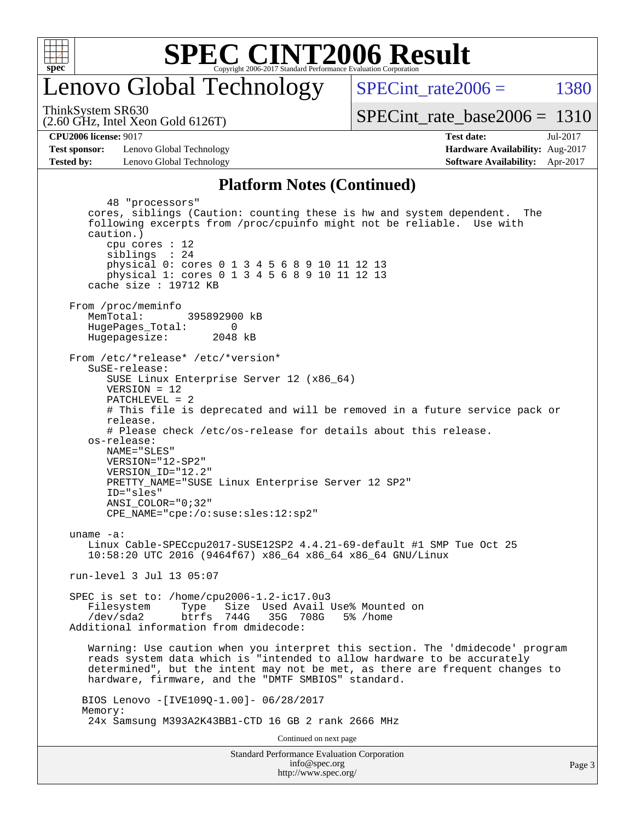

## enovo Global Technology

SPECint rate $2006 = 1380$ 

(2.60 GHz, Intel Xeon Gold 6126T) ThinkSystem SR630

[SPECint\\_rate\\_base2006 =](http://www.spec.org/auto/cpu2006/Docs/result-fields.html#SPECintratebase2006) 1310

**[Test sponsor:](http://www.spec.org/auto/cpu2006/Docs/result-fields.html#Testsponsor)** Lenovo Global Technology **[Hardware Availability:](http://www.spec.org/auto/cpu2006/Docs/result-fields.html#HardwareAvailability)** Aug-2017 **[Tested by:](http://www.spec.org/auto/cpu2006/Docs/result-fields.html#Testedby)** Lenovo Global Technology **[Software Availability:](http://www.spec.org/auto/cpu2006/Docs/result-fields.html#SoftwareAvailability)** Apr-2017

**[CPU2006 license:](http://www.spec.org/auto/cpu2006/Docs/result-fields.html#CPU2006license)** 9017 **[Test date:](http://www.spec.org/auto/cpu2006/Docs/result-fields.html#Testdate)** Jul-2017

### **[Platform Notes \(Continued\)](http://www.spec.org/auto/cpu2006/Docs/result-fields.html#PlatformNotes)**

Standard Performance Evaluation Corporation [info@spec.org](mailto:info@spec.org) 48 "processors" cores, siblings (Caution: counting these is hw and system dependent. The following excerpts from /proc/cpuinfo might not be reliable. Use with caution.) cpu cores : 12 siblings : 24 physical 0: cores 0 1 3 4 5 6 8 9 10 11 12 13 physical 1: cores 0 1 3 4 5 6 8 9 10 11 12 13 cache size : 19712 KB From /proc/meminfo MemTotal: 395892900 kB HugePages\_Total: 0<br>Hugepagesize: 2048 kB Hugepagesize: From /etc/\*release\* /etc/\*version\* SuSE-release: SUSE Linux Enterprise Server 12 (x86\_64) VERSION = 12 PATCHLEVEL = 2 # This file is deprecated and will be removed in a future service pack or release. # Please check /etc/os-release for details about this release. os-release: NAME="SLES" VERSION="12-SP2" VERSION\_ID="12.2" PRETTY\_NAME="SUSE Linux Enterprise Server 12 SP2" ID="sles" ANSI\_COLOR="0;32" CPE\_NAME="cpe:/o:suse:sles:12:sp2" uname -a: Linux Cable-SPECcpu2017-SUSE12SP2 4.4.21-69-default #1 SMP Tue Oct 25 10:58:20 UTC 2016 (9464f67) x86\_64 x86\_64 x86\_64 GNU/Linux run-level 3 Jul 13 05:07 SPEC is set to: /home/cpu2006-1.2-ic17.0u3 Filesystem Type Size Used Avail Use% Mounted on /dev/sda2 btrfs 744G 35G 708G 5% /home Additional information from dmidecode: Warning: Use caution when you interpret this section. The 'dmidecode' program reads system data which is "intended to allow hardware to be accurately determined", but the intent may not be met, as there are frequent changes to hardware, firmware, and the "DMTF SMBIOS" standard. BIOS Lenovo -[IVE109Q-1.00]- 06/28/2017 Memory: 24x Samsung M393A2K43BB1-CTD 16 GB 2 rank 2666 MHz Continued on next page

<http://www.spec.org/>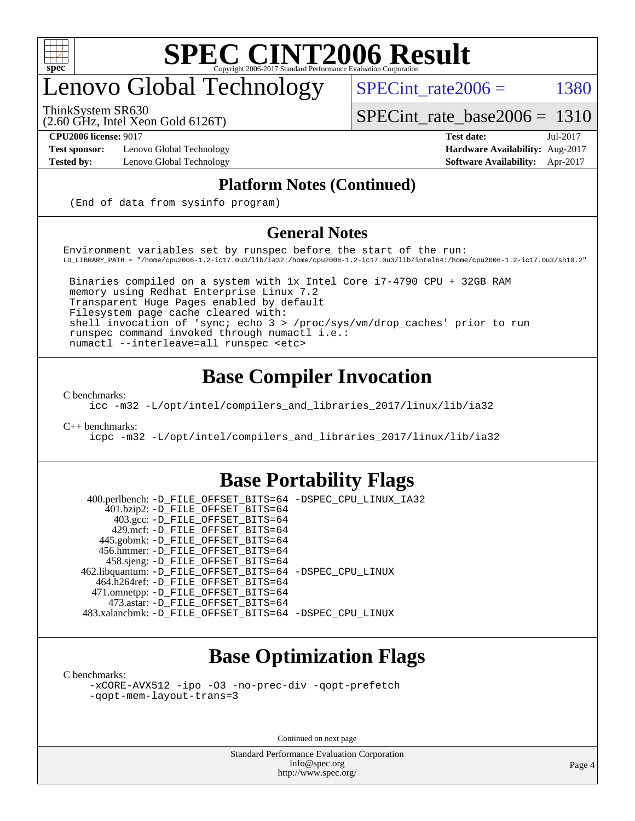

## enovo Global Technology

SPECint rate $2006 =$  1380

ThinkSystem SR630

[SPECint\\_rate\\_base2006 =](http://www.spec.org/auto/cpu2006/Docs/result-fields.html#SPECintratebase2006) 1310

(2.60 GHz, Intel Xeon Gold 6126T)

**[Test sponsor:](http://www.spec.org/auto/cpu2006/Docs/result-fields.html#Testsponsor)** Lenovo Global Technology **[Hardware Availability:](http://www.spec.org/auto/cpu2006/Docs/result-fields.html#HardwareAvailability)** Aug-2017

**[CPU2006 license:](http://www.spec.org/auto/cpu2006/Docs/result-fields.html#CPU2006license)** 9017 **[Test date:](http://www.spec.org/auto/cpu2006/Docs/result-fields.html#Testdate)** Jul-2017 **[Tested by:](http://www.spec.org/auto/cpu2006/Docs/result-fields.html#Testedby)** Lenovo Global Technology **[Software Availability:](http://www.spec.org/auto/cpu2006/Docs/result-fields.html#SoftwareAvailability)** Apr-2017

## **[Platform Notes \(Continued\)](http://www.spec.org/auto/cpu2006/Docs/result-fields.html#PlatformNotes)**

(End of data from sysinfo program)

## **[General Notes](http://www.spec.org/auto/cpu2006/Docs/result-fields.html#GeneralNotes)**

Environment variables set by runspec before the start of the run: LD\_LIBRARY\_PATH = "/home/cpu2006-1.2-ic17.0u3/lib/ia32:/home/cpu2006-1.2-ic17.0u3/lib/intel64:/home/cpu2006-1.2-ic17.0u3/sh10.2"

 Binaries compiled on a system with 1x Intel Core i7-4790 CPU + 32GB RAM memory using Redhat Enterprise Linux 7.2 Transparent Huge Pages enabled by default Filesystem page cache cleared with: shell invocation of 'sync; echo 3 > /proc/sys/vm/drop\_caches' prior to run runspec command invoked through numactl i.e.: numactl --interleave=all runspec <etc>

## **[Base Compiler Invocation](http://www.spec.org/auto/cpu2006/Docs/result-fields.html#BaseCompilerInvocation)**

[C benchmarks](http://www.spec.org/auto/cpu2006/Docs/result-fields.html#Cbenchmarks):

[icc -m32 -L/opt/intel/compilers\\_and\\_libraries\\_2017/linux/lib/ia32](http://www.spec.org/cpu2006/results/res2017q4/cpu2006-20170918-49524.flags.html#user_CCbase_intel_icc_c29f3ff5a7ed067b11e4ec10a03f03ae)

[C++ benchmarks:](http://www.spec.org/auto/cpu2006/Docs/result-fields.html#CXXbenchmarks)

[icpc -m32 -L/opt/intel/compilers\\_and\\_libraries\\_2017/linux/lib/ia32](http://www.spec.org/cpu2006/results/res2017q4/cpu2006-20170918-49524.flags.html#user_CXXbase_intel_icpc_8c35c7808b62dab9ae41a1aa06361b6b)

## **[Base Portability Flags](http://www.spec.org/auto/cpu2006/Docs/result-fields.html#BasePortabilityFlags)**

 400.perlbench: [-D\\_FILE\\_OFFSET\\_BITS=64](http://www.spec.org/cpu2006/results/res2017q4/cpu2006-20170918-49524.flags.html#user_basePORTABILITY400_perlbench_file_offset_bits_64_438cf9856305ebd76870a2c6dc2689ab) [-DSPEC\\_CPU\\_LINUX\\_IA32](http://www.spec.org/cpu2006/results/res2017q4/cpu2006-20170918-49524.flags.html#b400.perlbench_baseCPORTABILITY_DSPEC_CPU_LINUX_IA32) 401.bzip2: [-D\\_FILE\\_OFFSET\\_BITS=64](http://www.spec.org/cpu2006/results/res2017q4/cpu2006-20170918-49524.flags.html#user_basePORTABILITY401_bzip2_file_offset_bits_64_438cf9856305ebd76870a2c6dc2689ab) 403.gcc: [-D\\_FILE\\_OFFSET\\_BITS=64](http://www.spec.org/cpu2006/results/res2017q4/cpu2006-20170918-49524.flags.html#user_basePORTABILITY403_gcc_file_offset_bits_64_438cf9856305ebd76870a2c6dc2689ab) 429.mcf: [-D\\_FILE\\_OFFSET\\_BITS=64](http://www.spec.org/cpu2006/results/res2017q4/cpu2006-20170918-49524.flags.html#user_basePORTABILITY429_mcf_file_offset_bits_64_438cf9856305ebd76870a2c6dc2689ab) 445.gobmk: [-D\\_FILE\\_OFFSET\\_BITS=64](http://www.spec.org/cpu2006/results/res2017q4/cpu2006-20170918-49524.flags.html#user_basePORTABILITY445_gobmk_file_offset_bits_64_438cf9856305ebd76870a2c6dc2689ab) 456.hmmer: [-D\\_FILE\\_OFFSET\\_BITS=64](http://www.spec.org/cpu2006/results/res2017q4/cpu2006-20170918-49524.flags.html#user_basePORTABILITY456_hmmer_file_offset_bits_64_438cf9856305ebd76870a2c6dc2689ab) 458.sjeng: [-D\\_FILE\\_OFFSET\\_BITS=64](http://www.spec.org/cpu2006/results/res2017q4/cpu2006-20170918-49524.flags.html#user_basePORTABILITY458_sjeng_file_offset_bits_64_438cf9856305ebd76870a2c6dc2689ab) 462.libquantum: [-D\\_FILE\\_OFFSET\\_BITS=64](http://www.spec.org/cpu2006/results/res2017q4/cpu2006-20170918-49524.flags.html#user_basePORTABILITY462_libquantum_file_offset_bits_64_438cf9856305ebd76870a2c6dc2689ab) [-DSPEC\\_CPU\\_LINUX](http://www.spec.org/cpu2006/results/res2017q4/cpu2006-20170918-49524.flags.html#b462.libquantum_baseCPORTABILITY_DSPEC_CPU_LINUX) 464.h264ref: [-D\\_FILE\\_OFFSET\\_BITS=64](http://www.spec.org/cpu2006/results/res2017q4/cpu2006-20170918-49524.flags.html#user_basePORTABILITY464_h264ref_file_offset_bits_64_438cf9856305ebd76870a2c6dc2689ab) 471.omnetpp: [-D\\_FILE\\_OFFSET\\_BITS=64](http://www.spec.org/cpu2006/results/res2017q4/cpu2006-20170918-49524.flags.html#user_basePORTABILITY471_omnetpp_file_offset_bits_64_438cf9856305ebd76870a2c6dc2689ab) 473.astar: [-D\\_FILE\\_OFFSET\\_BITS=64](http://www.spec.org/cpu2006/results/res2017q4/cpu2006-20170918-49524.flags.html#user_basePORTABILITY473_astar_file_offset_bits_64_438cf9856305ebd76870a2c6dc2689ab) 483.xalancbmk: [-D\\_FILE\\_OFFSET\\_BITS=64](http://www.spec.org/cpu2006/results/res2017q4/cpu2006-20170918-49524.flags.html#user_basePORTABILITY483_xalancbmk_file_offset_bits_64_438cf9856305ebd76870a2c6dc2689ab) [-DSPEC\\_CPU\\_LINUX](http://www.spec.org/cpu2006/results/res2017q4/cpu2006-20170918-49524.flags.html#b483.xalancbmk_baseCXXPORTABILITY_DSPEC_CPU_LINUX)

## **[Base Optimization Flags](http://www.spec.org/auto/cpu2006/Docs/result-fields.html#BaseOptimizationFlags)**

[C benchmarks](http://www.spec.org/auto/cpu2006/Docs/result-fields.html#Cbenchmarks):

[-xCORE-AVX512](http://www.spec.org/cpu2006/results/res2017q4/cpu2006-20170918-49524.flags.html#user_CCbase_f-xCORE-AVX512) [-ipo](http://www.spec.org/cpu2006/results/res2017q4/cpu2006-20170918-49524.flags.html#user_CCbase_f-ipo) [-O3](http://www.spec.org/cpu2006/results/res2017q4/cpu2006-20170918-49524.flags.html#user_CCbase_f-O3) [-no-prec-div](http://www.spec.org/cpu2006/results/res2017q4/cpu2006-20170918-49524.flags.html#user_CCbase_f-no-prec-div) [-qopt-prefetch](http://www.spec.org/cpu2006/results/res2017q4/cpu2006-20170918-49524.flags.html#user_CCbase_f-qopt-prefetch) [-qopt-mem-layout-trans=3](http://www.spec.org/cpu2006/results/res2017q4/cpu2006-20170918-49524.flags.html#user_CCbase_f-qopt-mem-layout-trans_170f5be61cd2cedc9b54468c59262d5d)

Continued on next page

Standard Performance Evaluation Corporation [info@spec.org](mailto:info@spec.org) <http://www.spec.org/>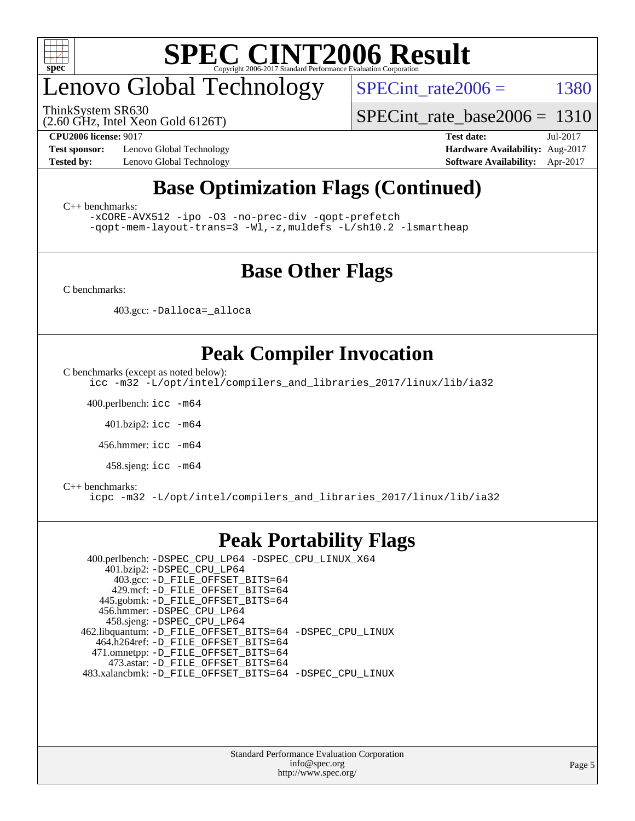

## enovo Global Technology

ThinkSystem SR630

SPECint rate $2006 =$  1380

(2.60 GHz, Intel Xeon Gold 6126T)

**[Test sponsor:](http://www.spec.org/auto/cpu2006/Docs/result-fields.html#Testsponsor)** Lenovo Global Technology **[Hardware Availability:](http://www.spec.org/auto/cpu2006/Docs/result-fields.html#HardwareAvailability)** Aug-2017

[SPECint\\_rate\\_base2006 =](http://www.spec.org/auto/cpu2006/Docs/result-fields.html#SPECintratebase2006) 1310 **[CPU2006 license:](http://www.spec.org/auto/cpu2006/Docs/result-fields.html#CPU2006license)** 9017 **[Test date:](http://www.spec.org/auto/cpu2006/Docs/result-fields.html#Testdate)** Jul-2017

**[Tested by:](http://www.spec.org/auto/cpu2006/Docs/result-fields.html#Testedby)** Lenovo Global Technology **[Software Availability:](http://www.spec.org/auto/cpu2006/Docs/result-fields.html#SoftwareAvailability)** Apr-2017

## **[Base Optimization Flags \(Continued\)](http://www.spec.org/auto/cpu2006/Docs/result-fields.html#BaseOptimizationFlags)**

[C++ benchmarks:](http://www.spec.org/auto/cpu2006/Docs/result-fields.html#CXXbenchmarks)

[-xCORE-AVX512](http://www.spec.org/cpu2006/results/res2017q4/cpu2006-20170918-49524.flags.html#user_CXXbase_f-xCORE-AVX512) [-ipo](http://www.spec.org/cpu2006/results/res2017q4/cpu2006-20170918-49524.flags.html#user_CXXbase_f-ipo) [-O3](http://www.spec.org/cpu2006/results/res2017q4/cpu2006-20170918-49524.flags.html#user_CXXbase_f-O3) [-no-prec-div](http://www.spec.org/cpu2006/results/res2017q4/cpu2006-20170918-49524.flags.html#user_CXXbase_f-no-prec-div) [-qopt-prefetch](http://www.spec.org/cpu2006/results/res2017q4/cpu2006-20170918-49524.flags.html#user_CXXbase_f-qopt-prefetch) [-qopt-mem-layout-trans=3](http://www.spec.org/cpu2006/results/res2017q4/cpu2006-20170918-49524.flags.html#user_CXXbase_f-qopt-mem-layout-trans_170f5be61cd2cedc9b54468c59262d5d) [-Wl,-z,muldefs](http://www.spec.org/cpu2006/results/res2017q4/cpu2006-20170918-49524.flags.html#user_CXXbase_link_force_multiple1_74079c344b956b9658436fd1b6dd3a8a) [-L/sh10.2 -lsmartheap](http://www.spec.org/cpu2006/results/res2017q4/cpu2006-20170918-49524.flags.html#user_CXXbase_SmartHeap_b831f2d313e2fffa6dfe3f00ffc1f1c0)

## **[Base Other Flags](http://www.spec.org/auto/cpu2006/Docs/result-fields.html#BaseOtherFlags)**

[C benchmarks](http://www.spec.org/auto/cpu2006/Docs/result-fields.html#Cbenchmarks):

403.gcc: [-Dalloca=\\_alloca](http://www.spec.org/cpu2006/results/res2017q4/cpu2006-20170918-49524.flags.html#b403.gcc_baseEXTRA_CFLAGS_Dalloca_be3056838c12de2578596ca5467af7f3)

## **[Peak Compiler Invocation](http://www.spec.org/auto/cpu2006/Docs/result-fields.html#PeakCompilerInvocation)**

[C benchmarks \(except as noted below\)](http://www.spec.org/auto/cpu2006/Docs/result-fields.html#Cbenchmarksexceptasnotedbelow):

[icc -m32 -L/opt/intel/compilers\\_and\\_libraries\\_2017/linux/lib/ia32](http://www.spec.org/cpu2006/results/res2017q4/cpu2006-20170918-49524.flags.html#user_CCpeak_intel_icc_c29f3ff5a7ed067b11e4ec10a03f03ae)

400.perlbench: [icc -m64](http://www.spec.org/cpu2006/results/res2017q4/cpu2006-20170918-49524.flags.html#user_peakCCLD400_perlbench_intel_icc_64bit_bda6cc9af1fdbb0edc3795bac97ada53)

401.bzip2: [icc -m64](http://www.spec.org/cpu2006/results/res2017q4/cpu2006-20170918-49524.flags.html#user_peakCCLD401_bzip2_intel_icc_64bit_bda6cc9af1fdbb0edc3795bac97ada53)

456.hmmer: [icc -m64](http://www.spec.org/cpu2006/results/res2017q4/cpu2006-20170918-49524.flags.html#user_peakCCLD456_hmmer_intel_icc_64bit_bda6cc9af1fdbb0edc3795bac97ada53)

458.sjeng: [icc -m64](http://www.spec.org/cpu2006/results/res2017q4/cpu2006-20170918-49524.flags.html#user_peakCCLD458_sjeng_intel_icc_64bit_bda6cc9af1fdbb0edc3795bac97ada53)

#### [C++ benchmarks:](http://www.spec.org/auto/cpu2006/Docs/result-fields.html#CXXbenchmarks)

[icpc -m32 -L/opt/intel/compilers\\_and\\_libraries\\_2017/linux/lib/ia32](http://www.spec.org/cpu2006/results/res2017q4/cpu2006-20170918-49524.flags.html#user_CXXpeak_intel_icpc_8c35c7808b62dab9ae41a1aa06361b6b)

## **[Peak Portability Flags](http://www.spec.org/auto/cpu2006/Docs/result-fields.html#PeakPortabilityFlags)**

 400.perlbench: [-DSPEC\\_CPU\\_LP64](http://www.spec.org/cpu2006/results/res2017q4/cpu2006-20170918-49524.flags.html#b400.perlbench_peakCPORTABILITY_DSPEC_CPU_LP64) [-DSPEC\\_CPU\\_LINUX\\_X64](http://www.spec.org/cpu2006/results/res2017q4/cpu2006-20170918-49524.flags.html#b400.perlbench_peakCPORTABILITY_DSPEC_CPU_LINUX_X64) 401.bzip2: [-DSPEC\\_CPU\\_LP64](http://www.spec.org/cpu2006/results/res2017q4/cpu2006-20170918-49524.flags.html#suite_peakCPORTABILITY401_bzip2_DSPEC_CPU_LP64) 403.gcc: [-D\\_FILE\\_OFFSET\\_BITS=64](http://www.spec.org/cpu2006/results/res2017q4/cpu2006-20170918-49524.flags.html#user_peakPORTABILITY403_gcc_file_offset_bits_64_438cf9856305ebd76870a2c6dc2689ab) 429.mcf: [-D\\_FILE\\_OFFSET\\_BITS=64](http://www.spec.org/cpu2006/results/res2017q4/cpu2006-20170918-49524.flags.html#user_peakPORTABILITY429_mcf_file_offset_bits_64_438cf9856305ebd76870a2c6dc2689ab) 445.gobmk: [-D\\_FILE\\_OFFSET\\_BITS=64](http://www.spec.org/cpu2006/results/res2017q4/cpu2006-20170918-49524.flags.html#user_peakPORTABILITY445_gobmk_file_offset_bits_64_438cf9856305ebd76870a2c6dc2689ab) 456.hmmer: [-DSPEC\\_CPU\\_LP64](http://www.spec.org/cpu2006/results/res2017q4/cpu2006-20170918-49524.flags.html#suite_peakCPORTABILITY456_hmmer_DSPEC_CPU_LP64) 458.sjeng: [-DSPEC\\_CPU\\_LP64](http://www.spec.org/cpu2006/results/res2017q4/cpu2006-20170918-49524.flags.html#suite_peakCPORTABILITY458_sjeng_DSPEC_CPU_LP64) 462.libquantum: [-D\\_FILE\\_OFFSET\\_BITS=64](http://www.spec.org/cpu2006/results/res2017q4/cpu2006-20170918-49524.flags.html#user_peakPORTABILITY462_libquantum_file_offset_bits_64_438cf9856305ebd76870a2c6dc2689ab) [-DSPEC\\_CPU\\_LINUX](http://www.spec.org/cpu2006/results/res2017q4/cpu2006-20170918-49524.flags.html#b462.libquantum_peakCPORTABILITY_DSPEC_CPU_LINUX) 464.h264ref: [-D\\_FILE\\_OFFSET\\_BITS=64](http://www.spec.org/cpu2006/results/res2017q4/cpu2006-20170918-49524.flags.html#user_peakPORTABILITY464_h264ref_file_offset_bits_64_438cf9856305ebd76870a2c6dc2689ab) 471.omnetpp: [-D\\_FILE\\_OFFSET\\_BITS=64](http://www.spec.org/cpu2006/results/res2017q4/cpu2006-20170918-49524.flags.html#user_peakPORTABILITY471_omnetpp_file_offset_bits_64_438cf9856305ebd76870a2c6dc2689ab) 473.astar: [-D\\_FILE\\_OFFSET\\_BITS=64](http://www.spec.org/cpu2006/results/res2017q4/cpu2006-20170918-49524.flags.html#user_peakPORTABILITY473_astar_file_offset_bits_64_438cf9856305ebd76870a2c6dc2689ab) 483.xalancbmk: [-D\\_FILE\\_OFFSET\\_BITS=64](http://www.spec.org/cpu2006/results/res2017q4/cpu2006-20170918-49524.flags.html#user_peakPORTABILITY483_xalancbmk_file_offset_bits_64_438cf9856305ebd76870a2c6dc2689ab) [-DSPEC\\_CPU\\_LINUX](http://www.spec.org/cpu2006/results/res2017q4/cpu2006-20170918-49524.flags.html#b483.xalancbmk_peakCXXPORTABILITY_DSPEC_CPU_LINUX)

> Standard Performance Evaluation Corporation [info@spec.org](mailto:info@spec.org) <http://www.spec.org/>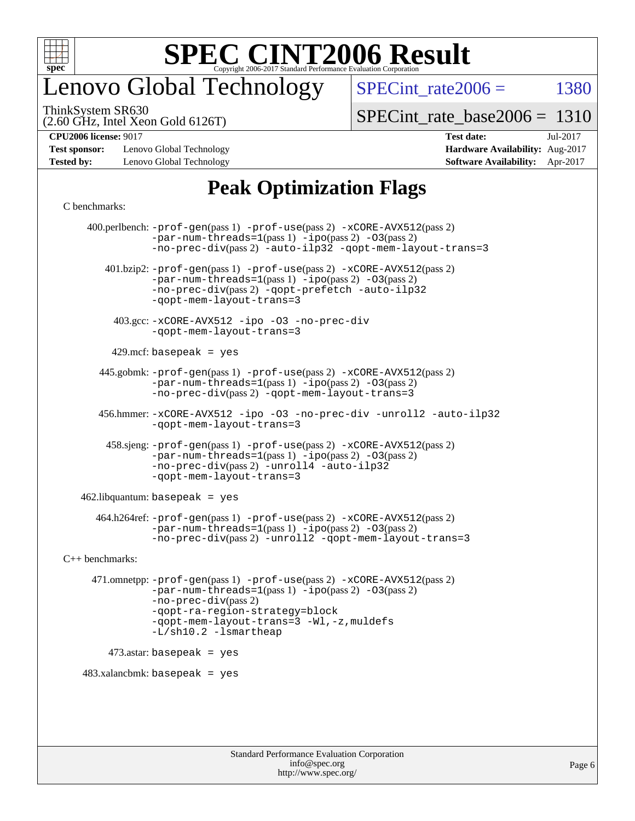

## enovo Global Technology

SPECint rate $2006 =$  1380

(2.60 GHz, Intel Xeon Gold 6126T) ThinkSystem SR630

[SPECint\\_rate\\_base2006 =](http://www.spec.org/auto/cpu2006/Docs/result-fields.html#SPECintratebase2006) 1310

**[CPU2006 license:](http://www.spec.org/auto/cpu2006/Docs/result-fields.html#CPU2006license)** 9017 **[Test date:](http://www.spec.org/auto/cpu2006/Docs/result-fields.html#Testdate)** Jul-2017

**[Test sponsor:](http://www.spec.org/auto/cpu2006/Docs/result-fields.html#Testsponsor)** Lenovo Global Technology **[Hardware Availability:](http://www.spec.org/auto/cpu2006/Docs/result-fields.html#HardwareAvailability)** Aug-2017 **[Tested by:](http://www.spec.org/auto/cpu2006/Docs/result-fields.html#Testedby)** Lenovo Global Technology **[Software Availability:](http://www.spec.org/auto/cpu2006/Docs/result-fields.html#SoftwareAvailability)** Apr-2017

## **[Peak Optimization Flags](http://www.spec.org/auto/cpu2006/Docs/result-fields.html#PeakOptimizationFlags)**

#### [C benchmarks](http://www.spec.org/auto/cpu2006/Docs/result-fields.html#Cbenchmarks):

 400.perlbench: [-prof-gen](http://www.spec.org/cpu2006/results/res2017q4/cpu2006-20170918-49524.flags.html#user_peakPASS1_CFLAGSPASS1_LDCFLAGS400_perlbench_prof_gen_e43856698f6ca7b7e442dfd80e94a8fc)(pass 1) [-prof-use](http://www.spec.org/cpu2006/results/res2017q4/cpu2006-20170918-49524.flags.html#user_peakPASS2_CFLAGSPASS2_LDCFLAGS400_perlbench_prof_use_bccf7792157ff70d64e32fe3e1250b55)(pass 2) [-xCORE-AVX512](http://www.spec.org/cpu2006/results/res2017q4/cpu2006-20170918-49524.flags.html#user_peakPASS2_CFLAGSPASS2_LDCFLAGS400_perlbench_f-xCORE-AVX512)(pass 2)  $-par-num-threads=1(pass 1) -ipo(pass 2) -O3(pass 2)$  $-par-num-threads=1(pass 1) -ipo(pass 2) -O3(pass 2)$  $-par-num-threads=1(pass 1) -ipo(pass 2) -O3(pass 2)$  $-par-num-threads=1(pass 1) -ipo(pass 2) -O3(pass 2)$  $-par-num-threads=1(pass 1) -ipo(pass 2) -O3(pass 2)$  $-par-num-threads=1(pass 1) -ipo(pass 2) -O3(pass 2)$ [-no-prec-div](http://www.spec.org/cpu2006/results/res2017q4/cpu2006-20170918-49524.flags.html#user_peakPASS2_CFLAGSPASS2_LDCFLAGS400_perlbench_f-no-prec-div)(pass 2) [-auto-ilp32](http://www.spec.org/cpu2006/results/res2017q4/cpu2006-20170918-49524.flags.html#user_peakCOPTIMIZE400_perlbench_f-auto-ilp32) [-qopt-mem-layout-trans=3](http://www.spec.org/cpu2006/results/res2017q4/cpu2006-20170918-49524.flags.html#user_peakCOPTIMIZE400_perlbench_f-qopt-mem-layout-trans_170f5be61cd2cedc9b54468c59262d5d) 401.bzip2: [-prof-gen](http://www.spec.org/cpu2006/results/res2017q4/cpu2006-20170918-49524.flags.html#user_peakPASS1_CFLAGSPASS1_LDCFLAGS401_bzip2_prof_gen_e43856698f6ca7b7e442dfd80e94a8fc)(pass 1) [-prof-use](http://www.spec.org/cpu2006/results/res2017q4/cpu2006-20170918-49524.flags.html#user_peakPASS2_CFLAGSPASS2_LDCFLAGS401_bzip2_prof_use_bccf7792157ff70d64e32fe3e1250b55)(pass 2) [-xCORE-AVX512](http://www.spec.org/cpu2006/results/res2017q4/cpu2006-20170918-49524.flags.html#user_peakPASS2_CFLAGSPASS2_LDCFLAGS401_bzip2_f-xCORE-AVX512)(pass 2) [-par-num-threads=1](http://www.spec.org/cpu2006/results/res2017q4/cpu2006-20170918-49524.flags.html#user_peakPASS1_CFLAGSPASS1_LDCFLAGS401_bzip2_par_num_threads_786a6ff141b4e9e90432e998842df6c2)(pass 1) [-ipo](http://www.spec.org/cpu2006/results/res2017q4/cpu2006-20170918-49524.flags.html#user_peakPASS2_CFLAGSPASS2_LDCFLAGS401_bzip2_f-ipo)(pass 2) [-O3](http://www.spec.org/cpu2006/results/res2017q4/cpu2006-20170918-49524.flags.html#user_peakPASS2_CFLAGSPASS2_LDCFLAGS401_bzip2_f-O3)(pass 2) [-no-prec-div](http://www.spec.org/cpu2006/results/res2017q4/cpu2006-20170918-49524.flags.html#user_peakPASS2_CFLAGSPASS2_LDCFLAGS401_bzip2_f-no-prec-div)(pass 2) [-qopt-prefetch](http://www.spec.org/cpu2006/results/res2017q4/cpu2006-20170918-49524.flags.html#user_peakCOPTIMIZE401_bzip2_f-qopt-prefetch) [-auto-ilp32](http://www.spec.org/cpu2006/results/res2017q4/cpu2006-20170918-49524.flags.html#user_peakCOPTIMIZE401_bzip2_f-auto-ilp32) [-qopt-mem-layout-trans=3](http://www.spec.org/cpu2006/results/res2017q4/cpu2006-20170918-49524.flags.html#user_peakCOPTIMIZE401_bzip2_f-qopt-mem-layout-trans_170f5be61cd2cedc9b54468c59262d5d) 403.gcc: [-xCORE-AVX512](http://www.spec.org/cpu2006/results/res2017q4/cpu2006-20170918-49524.flags.html#user_peakOPTIMIZE403_gcc_f-xCORE-AVX512) [-ipo](http://www.spec.org/cpu2006/results/res2017q4/cpu2006-20170918-49524.flags.html#user_peakOPTIMIZE403_gcc_f-ipo) [-O3](http://www.spec.org/cpu2006/results/res2017q4/cpu2006-20170918-49524.flags.html#user_peakOPTIMIZE403_gcc_f-O3) [-no-prec-div](http://www.spec.org/cpu2006/results/res2017q4/cpu2006-20170918-49524.flags.html#user_peakOPTIMIZE403_gcc_f-no-prec-div) [-qopt-mem-layout-trans=3](http://www.spec.org/cpu2006/results/res2017q4/cpu2006-20170918-49524.flags.html#user_peakCOPTIMIZE403_gcc_f-qopt-mem-layout-trans_170f5be61cd2cedc9b54468c59262d5d)  $429$ .mcf: basepeak = yes 445.gobmk: [-prof-gen](http://www.spec.org/cpu2006/results/res2017q4/cpu2006-20170918-49524.flags.html#user_peakPASS1_CFLAGSPASS1_LDCFLAGS445_gobmk_prof_gen_e43856698f6ca7b7e442dfd80e94a8fc)(pass 1) [-prof-use](http://www.spec.org/cpu2006/results/res2017q4/cpu2006-20170918-49524.flags.html#user_peakPASS2_CFLAGSPASS2_LDCFLAGSPASS2_LDFLAGS445_gobmk_prof_use_bccf7792157ff70d64e32fe3e1250b55)(pass 2) [-xCORE-AVX512](http://www.spec.org/cpu2006/results/res2017q4/cpu2006-20170918-49524.flags.html#user_peakPASS2_CFLAGSPASS2_LDCFLAGSPASS2_LDFLAGS445_gobmk_f-xCORE-AVX512)(pass 2) [-par-num-threads=1](http://www.spec.org/cpu2006/results/res2017q4/cpu2006-20170918-49524.flags.html#user_peakPASS1_CFLAGSPASS1_LDCFLAGS445_gobmk_par_num_threads_786a6ff141b4e9e90432e998842df6c2)(pass 1) [-ipo](http://www.spec.org/cpu2006/results/res2017q4/cpu2006-20170918-49524.flags.html#user_peakPASS2_LDCFLAGS445_gobmk_f-ipo)(pass 2) [-O3](http://www.spec.org/cpu2006/results/res2017q4/cpu2006-20170918-49524.flags.html#user_peakPASS2_LDCFLAGS445_gobmk_f-O3)(pass 2) [-no-prec-div](http://www.spec.org/cpu2006/results/res2017q4/cpu2006-20170918-49524.flags.html#user_peakPASS2_LDCFLAGS445_gobmk_f-no-prec-div)(pass 2) [-qopt-mem-layout-trans=3](http://www.spec.org/cpu2006/results/res2017q4/cpu2006-20170918-49524.flags.html#user_peakCOPTIMIZE445_gobmk_f-qopt-mem-layout-trans_170f5be61cd2cedc9b54468c59262d5d) 456.hmmer: [-xCORE-AVX512](http://www.spec.org/cpu2006/results/res2017q4/cpu2006-20170918-49524.flags.html#user_peakOPTIMIZE456_hmmer_f-xCORE-AVX512) [-ipo](http://www.spec.org/cpu2006/results/res2017q4/cpu2006-20170918-49524.flags.html#user_peakOPTIMIZE456_hmmer_f-ipo) [-O3](http://www.spec.org/cpu2006/results/res2017q4/cpu2006-20170918-49524.flags.html#user_peakOPTIMIZE456_hmmer_f-O3) [-no-prec-div](http://www.spec.org/cpu2006/results/res2017q4/cpu2006-20170918-49524.flags.html#user_peakOPTIMIZE456_hmmer_f-no-prec-div) [-unroll2](http://www.spec.org/cpu2006/results/res2017q4/cpu2006-20170918-49524.flags.html#user_peakCOPTIMIZE456_hmmer_f-unroll_784dae83bebfb236979b41d2422d7ec2) [-auto-ilp32](http://www.spec.org/cpu2006/results/res2017q4/cpu2006-20170918-49524.flags.html#user_peakCOPTIMIZE456_hmmer_f-auto-ilp32) [-qopt-mem-layout-trans=3](http://www.spec.org/cpu2006/results/res2017q4/cpu2006-20170918-49524.flags.html#user_peakCOPTIMIZE456_hmmer_f-qopt-mem-layout-trans_170f5be61cd2cedc9b54468c59262d5d) 458.sjeng: [-prof-gen](http://www.spec.org/cpu2006/results/res2017q4/cpu2006-20170918-49524.flags.html#user_peakPASS1_CFLAGSPASS1_LDCFLAGS458_sjeng_prof_gen_e43856698f6ca7b7e442dfd80e94a8fc)(pass 1) [-prof-use](http://www.spec.org/cpu2006/results/res2017q4/cpu2006-20170918-49524.flags.html#user_peakPASS2_CFLAGSPASS2_LDCFLAGS458_sjeng_prof_use_bccf7792157ff70d64e32fe3e1250b55)(pass 2) [-xCORE-AVX512](http://www.spec.org/cpu2006/results/res2017q4/cpu2006-20170918-49524.flags.html#user_peakPASS2_CFLAGSPASS2_LDCFLAGS458_sjeng_f-xCORE-AVX512)(pass 2) [-par-num-threads=1](http://www.spec.org/cpu2006/results/res2017q4/cpu2006-20170918-49524.flags.html#user_peakPASS1_CFLAGSPASS1_LDCFLAGS458_sjeng_par_num_threads_786a6ff141b4e9e90432e998842df6c2)(pass 1) [-ipo](http://www.spec.org/cpu2006/results/res2017q4/cpu2006-20170918-49524.flags.html#user_peakPASS2_CFLAGSPASS2_LDCFLAGS458_sjeng_f-ipo)(pass 2) [-O3](http://www.spec.org/cpu2006/results/res2017q4/cpu2006-20170918-49524.flags.html#user_peakPASS2_CFLAGSPASS2_LDCFLAGS458_sjeng_f-O3)(pass 2) [-no-prec-div](http://www.spec.org/cpu2006/results/res2017q4/cpu2006-20170918-49524.flags.html#user_peakPASS2_CFLAGSPASS2_LDCFLAGS458_sjeng_f-no-prec-div)(pass 2) [-unroll4](http://www.spec.org/cpu2006/results/res2017q4/cpu2006-20170918-49524.flags.html#user_peakCOPTIMIZE458_sjeng_f-unroll_4e5e4ed65b7fd20bdcd365bec371b81f) [-auto-ilp32](http://www.spec.org/cpu2006/results/res2017q4/cpu2006-20170918-49524.flags.html#user_peakCOPTIMIZE458_sjeng_f-auto-ilp32) [-qopt-mem-layout-trans=3](http://www.spec.org/cpu2006/results/res2017q4/cpu2006-20170918-49524.flags.html#user_peakCOPTIMIZE458_sjeng_f-qopt-mem-layout-trans_170f5be61cd2cedc9b54468c59262d5d)  $462$ .libquantum: basepeak = yes 464.h264ref: [-prof-gen](http://www.spec.org/cpu2006/results/res2017q4/cpu2006-20170918-49524.flags.html#user_peakPASS1_CFLAGSPASS1_LDCFLAGS464_h264ref_prof_gen_e43856698f6ca7b7e442dfd80e94a8fc)(pass 1) [-prof-use](http://www.spec.org/cpu2006/results/res2017q4/cpu2006-20170918-49524.flags.html#user_peakPASS2_CFLAGSPASS2_LDCFLAGS464_h264ref_prof_use_bccf7792157ff70d64e32fe3e1250b55)(pass 2) [-xCORE-AVX512](http://www.spec.org/cpu2006/results/res2017q4/cpu2006-20170918-49524.flags.html#user_peakPASS2_CFLAGSPASS2_LDCFLAGS464_h264ref_f-xCORE-AVX512)(pass 2) [-par-num-threads=1](http://www.spec.org/cpu2006/results/res2017q4/cpu2006-20170918-49524.flags.html#user_peakPASS1_CFLAGSPASS1_LDCFLAGS464_h264ref_par_num_threads_786a6ff141b4e9e90432e998842df6c2)(pass 1) [-ipo](http://www.spec.org/cpu2006/results/res2017q4/cpu2006-20170918-49524.flags.html#user_peakPASS2_CFLAGSPASS2_LDCFLAGS464_h264ref_f-ipo)(pass 2) [-O3](http://www.spec.org/cpu2006/results/res2017q4/cpu2006-20170918-49524.flags.html#user_peakPASS2_CFLAGSPASS2_LDCFLAGS464_h264ref_f-O3)(pass 2) [-no-prec-div](http://www.spec.org/cpu2006/results/res2017q4/cpu2006-20170918-49524.flags.html#user_peakPASS2_CFLAGSPASS2_LDCFLAGS464_h264ref_f-no-prec-div)(pass 2) [-unroll2](http://www.spec.org/cpu2006/results/res2017q4/cpu2006-20170918-49524.flags.html#user_peakCOPTIMIZE464_h264ref_f-unroll_784dae83bebfb236979b41d2422d7ec2) [-qopt-mem-layout-trans=3](http://www.spec.org/cpu2006/results/res2017q4/cpu2006-20170918-49524.flags.html#user_peakCOPTIMIZE464_h264ref_f-qopt-mem-layout-trans_170f5be61cd2cedc9b54468c59262d5d) [C++ benchmarks:](http://www.spec.org/auto/cpu2006/Docs/result-fields.html#CXXbenchmarks) 471.omnetpp: [-prof-gen](http://www.spec.org/cpu2006/results/res2017q4/cpu2006-20170918-49524.flags.html#user_peakPASS1_CXXFLAGSPASS1_LDCXXFLAGS471_omnetpp_prof_gen_e43856698f6ca7b7e442dfd80e94a8fc)(pass 1) [-prof-use](http://www.spec.org/cpu2006/results/res2017q4/cpu2006-20170918-49524.flags.html#user_peakPASS2_CXXFLAGSPASS2_LDCXXFLAGS471_omnetpp_prof_use_bccf7792157ff70d64e32fe3e1250b55)(pass 2) [-xCORE-AVX512](http://www.spec.org/cpu2006/results/res2017q4/cpu2006-20170918-49524.flags.html#user_peakPASS2_CXXFLAGSPASS2_LDCXXFLAGS471_omnetpp_f-xCORE-AVX512)(pass 2) [-par-num-threads=1](http://www.spec.org/cpu2006/results/res2017q4/cpu2006-20170918-49524.flags.html#user_peakPASS1_CXXFLAGSPASS1_LDCXXFLAGS471_omnetpp_par_num_threads_786a6ff141b4e9e90432e998842df6c2)(pass 1) [-ipo](http://www.spec.org/cpu2006/results/res2017q4/cpu2006-20170918-49524.flags.html#user_peakPASS2_CXXFLAGSPASS2_LDCXXFLAGS471_omnetpp_f-ipo)(pass 2) [-O3](http://www.spec.org/cpu2006/results/res2017q4/cpu2006-20170918-49524.flags.html#user_peakPASS2_CXXFLAGSPASS2_LDCXXFLAGS471_omnetpp_f-O3)(pass 2) [-no-prec-div](http://www.spec.org/cpu2006/results/res2017q4/cpu2006-20170918-49524.flags.html#user_peakPASS2_CXXFLAGSPASS2_LDCXXFLAGS471_omnetpp_f-no-prec-div)(pass 2) [-qopt-ra-region-strategy=block](http://www.spec.org/cpu2006/results/res2017q4/cpu2006-20170918-49524.flags.html#user_peakCXXOPTIMIZE471_omnetpp_f-qopt-ra-region-strategy_430aa8f7c220cbde92ae827fa8d9be32)  [-qopt-mem-layout-trans=3](http://www.spec.org/cpu2006/results/res2017q4/cpu2006-20170918-49524.flags.html#user_peakCXXOPTIMIZE471_omnetpp_f-qopt-mem-layout-trans_170f5be61cd2cedc9b54468c59262d5d) [-Wl,-z,muldefs](http://www.spec.org/cpu2006/results/res2017q4/cpu2006-20170918-49524.flags.html#user_peakEXTRA_LDFLAGS471_omnetpp_link_force_multiple1_74079c344b956b9658436fd1b6dd3a8a) [-L/sh10.2 -lsmartheap](http://www.spec.org/cpu2006/results/res2017q4/cpu2006-20170918-49524.flags.html#user_peakEXTRA_LIBS471_omnetpp_SmartHeap_b831f2d313e2fffa6dfe3f00ffc1f1c0) 473.astar: basepeak = yes  $483.xalanchmk: basepeak = yes$